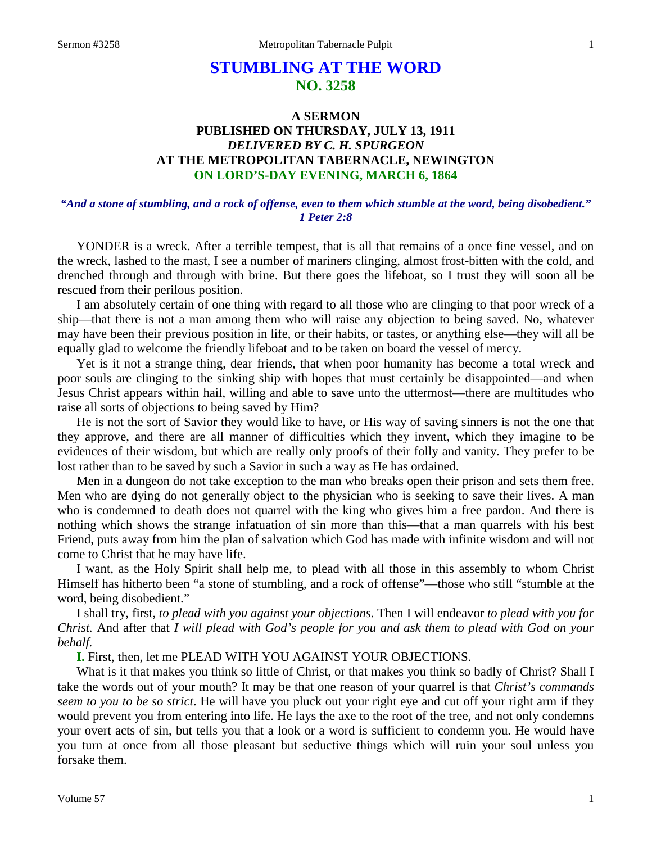# **STUMBLING AT THE WORD NO. 3258**

## **A SERMON PUBLISHED ON THURSDAY, JULY 13, 1911** *DELIVERED BY C. H. SPURGEON* **AT THE METROPOLITAN TABERNACLE, NEWINGTON ON LORD'S-DAY EVENING, MARCH 6, 1864**

#### *"And a stone of stumbling, and a rock of offense, even to them which stumble at the word, being disobedient." 1 Peter 2:8*

YONDER is a wreck. After a terrible tempest, that is all that remains of a once fine vessel, and on the wreck, lashed to the mast, I see a number of mariners clinging, almost frost-bitten with the cold, and drenched through and through with brine. But there goes the lifeboat, so I trust they will soon all be rescued from their perilous position.

I am absolutely certain of one thing with regard to all those who are clinging to that poor wreck of a ship—that there is not a man among them who will raise any objection to being saved. No, whatever may have been their previous position in life, or their habits, or tastes, or anything else—they will all be equally glad to welcome the friendly lifeboat and to be taken on board the vessel of mercy.

Yet is it not a strange thing, dear friends, that when poor humanity has become a total wreck and poor souls are clinging to the sinking ship with hopes that must certainly be disappointed—and when Jesus Christ appears within hail, willing and able to save unto the uttermost—there are multitudes who raise all sorts of objections to being saved by Him?

He is not the sort of Savior they would like to have, or His way of saving sinners is not the one that they approve, and there are all manner of difficulties which they invent, which they imagine to be evidences of their wisdom, but which are really only proofs of their folly and vanity. They prefer to be lost rather than to be saved by such a Savior in such a way as He has ordained.

Men in a dungeon do not take exception to the man who breaks open their prison and sets them free. Men who are dying do not generally object to the physician who is seeking to save their lives. A man who is condemned to death does not quarrel with the king who gives him a free pardon. And there is nothing which shows the strange infatuation of sin more than this—that a man quarrels with his best Friend, puts away from him the plan of salvation which God has made with infinite wisdom and will not come to Christ that he may have life.

I want, as the Holy Spirit shall help me, to plead with all those in this assembly to whom Christ Himself has hitherto been "a stone of stumbling, and a rock of offense"—those who still "stumble at the word, being disobedient."

I shall try, first, *to plead with you against your objections*. Then I will endeavor *to plead with you for Christ.* And after that *I will plead with God's people for you and ask them to plead with God on your behalf.* 

**I.** First, then, let me PLEAD WITH YOU AGAINST YOUR OBJECTIONS.

What is it that makes you think so little of Christ, or that makes you think so badly of Christ? Shall I take the words out of your mouth? It may be that one reason of your quarrel is that *Christ's commands seem to you to be so strict*. He will have you pluck out your right eye and cut off your right arm if they would prevent you from entering into life. He lays the axe to the root of the tree, and not only condemns your overt acts of sin, but tells you that a look or a word is sufficient to condemn you. He would have you turn at once from all those pleasant but seductive things which will ruin your soul unless you forsake them.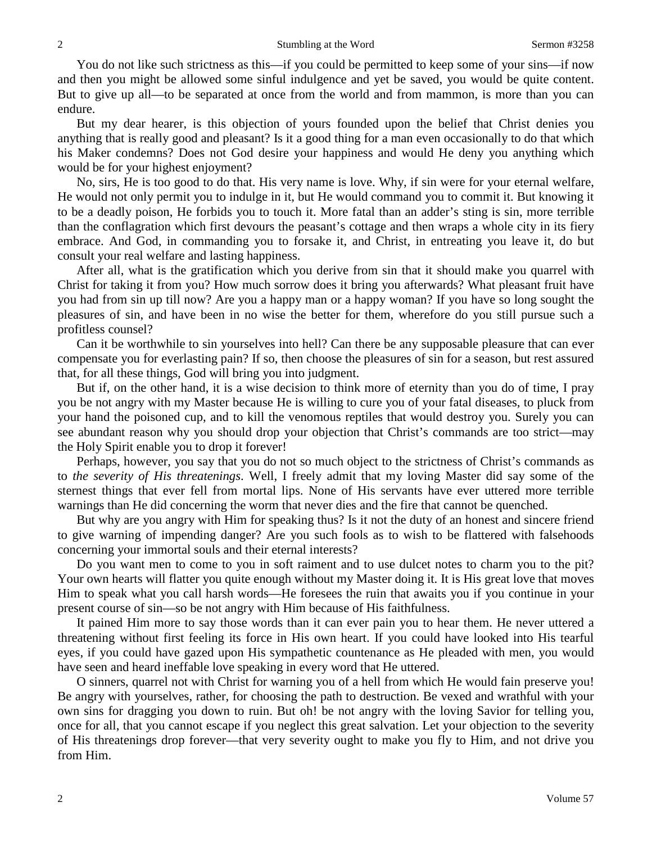You do not like such strictness as this—if you could be permitted to keep some of your sins—if now and then you might be allowed some sinful indulgence and yet be saved, you would be quite content. But to give up all—to be separated at once from the world and from mammon, is more than you can endure.

But my dear hearer, is this objection of yours founded upon the belief that Christ denies you anything that is really good and pleasant? Is it a good thing for a man even occasionally to do that which his Maker condemns? Does not God desire your happiness and would He deny you anything which would be for your highest enjoyment?

No, sirs, He is too good to do that. His very name is love. Why, if sin were for your eternal welfare, He would not only permit you to indulge in it, but He would command you to commit it. But knowing it to be a deadly poison, He forbids you to touch it. More fatal than an adder's sting is sin, more terrible than the conflagration which first devours the peasant's cottage and then wraps a whole city in its fiery embrace. And God, in commanding you to forsake it, and Christ, in entreating you leave it, do but consult your real welfare and lasting happiness.

After all, what is the gratification which you derive from sin that it should make you quarrel with Christ for taking it from you? How much sorrow does it bring you afterwards? What pleasant fruit have you had from sin up till now? Are you a happy man or a happy woman? If you have so long sought the pleasures of sin, and have been in no wise the better for them, wherefore do you still pursue such a profitless counsel?

Can it be worthwhile to sin yourselves into hell? Can there be any supposable pleasure that can ever compensate you for everlasting pain? If so, then choose the pleasures of sin for a season, but rest assured that, for all these things, God will bring you into judgment.

But if, on the other hand, it is a wise decision to think more of eternity than you do of time, I pray you be not angry with my Master because He is willing to cure you of your fatal diseases, to pluck from your hand the poisoned cup, and to kill the venomous reptiles that would destroy you. Surely you can see abundant reason why you should drop your objection that Christ's commands are too strict—may the Holy Spirit enable you to drop it forever!

Perhaps, however, you say that you do not so much object to the strictness of Christ's commands as to *the severity of His threatenings*. Well, I freely admit that my loving Master did say some of the sternest things that ever fell from mortal lips. None of His servants have ever uttered more terrible warnings than He did concerning the worm that never dies and the fire that cannot be quenched.

But why are you angry with Him for speaking thus? Is it not the duty of an honest and sincere friend to give warning of impending danger? Are you such fools as to wish to be flattered with falsehoods concerning your immortal souls and their eternal interests?

Do you want men to come to you in soft raiment and to use dulcet notes to charm you to the pit? Your own hearts will flatter you quite enough without my Master doing it. It is His great love that moves Him to speak what you call harsh words—He foresees the ruin that awaits you if you continue in your present course of sin—so be not angry with Him because of His faithfulness.

It pained Him more to say those words than it can ever pain you to hear them. He never uttered a threatening without first feeling its force in His own heart. If you could have looked into His tearful eyes, if you could have gazed upon His sympathetic countenance as He pleaded with men, you would have seen and heard ineffable love speaking in every word that He uttered.

O sinners, quarrel not with Christ for warning you of a hell from which He would fain preserve you! Be angry with yourselves, rather, for choosing the path to destruction. Be vexed and wrathful with your own sins for dragging you down to ruin. But oh! be not angry with the loving Savior for telling you, once for all, that you cannot escape if you neglect this great salvation. Let your objection to the severity of His threatenings drop forever—that very severity ought to make you fly to Him, and not drive you from Him.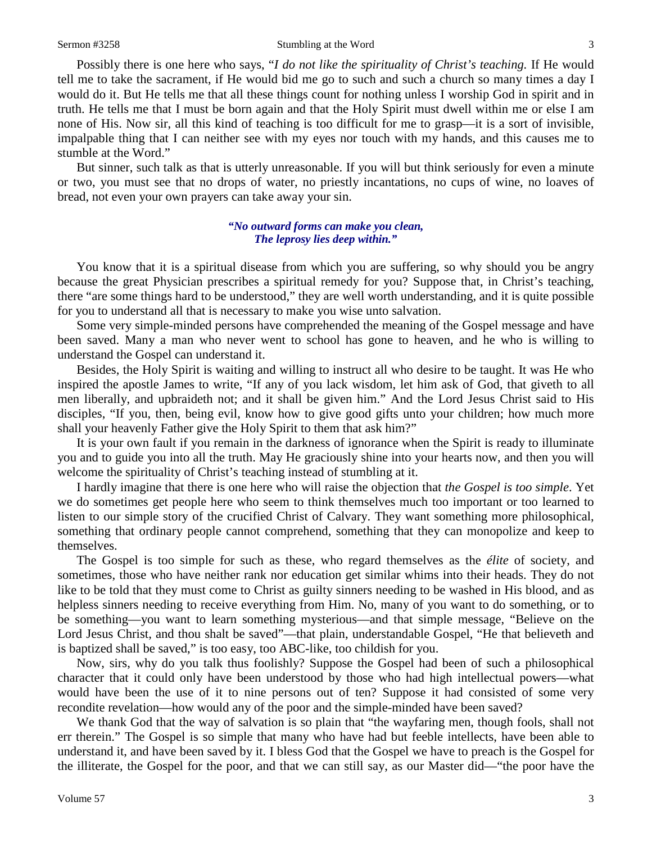Sermon #3258 Stumbling at the Word 3

Possibly there is one here who says, "*I do not like the spirituality of Christ's teaching*. If He would tell me to take the sacrament, if He would bid me go to such and such a church so many times a day I would do it. But He tells me that all these things count for nothing unless I worship God in spirit and in truth. He tells me that I must be born again and that the Holy Spirit must dwell within me or else I am none of His. Now sir, all this kind of teaching is too difficult for me to grasp—it is a sort of invisible, impalpable thing that I can neither see with my eyes nor touch with my hands, and this causes me to stumble at the Word."

But sinner, such talk as that is utterly unreasonable. If you will but think seriously for even a minute or two, you must see that no drops of water, no priestly incantations, no cups of wine, no loaves of bread, not even your own prayers can take away your sin.

#### *"No outward forms can make you clean, The leprosy lies deep within."*

You know that it is a spiritual disease from which you are suffering, so why should you be angry because the great Physician prescribes a spiritual remedy for you? Suppose that, in Christ's teaching, there "are some things hard to be understood," they are well worth understanding, and it is quite possible for you to understand all that is necessary to make you wise unto salvation.

Some very simple-minded persons have comprehended the meaning of the Gospel message and have been saved. Many a man who never went to school has gone to heaven, and he who is willing to understand the Gospel can understand it.

Besides, the Holy Spirit is waiting and willing to instruct all who desire to be taught. It was He who inspired the apostle James to write, "If any of you lack wisdom, let him ask of God, that giveth to all men liberally, and upbraideth not; and it shall be given him." And the Lord Jesus Christ said to His disciples, "If you, then, being evil, know how to give good gifts unto your children; how much more shall your heavenly Father give the Holy Spirit to them that ask him?"

It is your own fault if you remain in the darkness of ignorance when the Spirit is ready to illuminate you and to guide you into all the truth. May He graciously shine into your hearts now, and then you will welcome the spirituality of Christ's teaching instead of stumbling at it.

I hardly imagine that there is one here who will raise the objection that *the Gospel is too simple*. Yet we do sometimes get people here who seem to think themselves much too important or too learned to listen to our simple story of the crucified Christ of Calvary. They want something more philosophical, something that ordinary people cannot comprehend, something that they can monopolize and keep to themselves.

The Gospel is too simple for such as these, who regard themselves as the *élite* of society, and sometimes, those who have neither rank nor education get similar whims into their heads. They do not like to be told that they must come to Christ as guilty sinners needing to be washed in His blood, and as helpless sinners needing to receive everything from Him. No, many of you want to do something, or to be something—you want to learn something mysterious—and that simple message, "Believe on the Lord Jesus Christ, and thou shalt be saved"—that plain, understandable Gospel, "He that believeth and is baptized shall be saved," is too easy, too ABC-like, too childish for you.

Now, sirs, why do you talk thus foolishly? Suppose the Gospel had been of such a philosophical character that it could only have been understood by those who had high intellectual powers—what would have been the use of it to nine persons out of ten? Suppose it had consisted of some very recondite revelation—how would any of the poor and the simple-minded have been saved?

We thank God that the way of salvation is so plain that "the wayfaring men, though fools, shall not err therein." The Gospel is so simple that many who have had but feeble intellects, have been able to understand it, and have been saved by it. I bless God that the Gospel we have to preach is the Gospel for the illiterate, the Gospel for the poor, and that we can still say, as our Master did—"the poor have the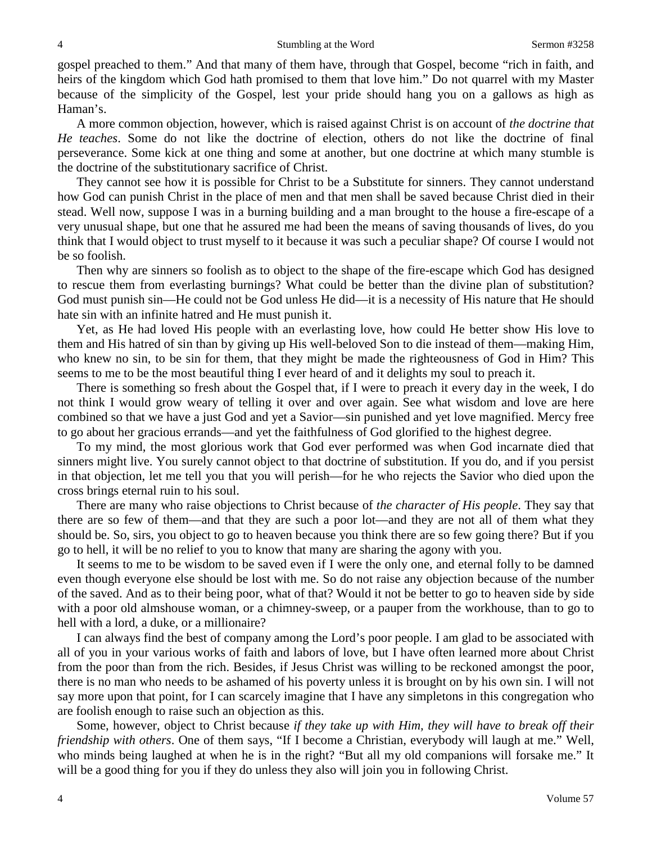gospel preached to them." And that many of them have, through that Gospel, become "rich in faith, and heirs of the kingdom which God hath promised to them that love him." Do not quarrel with my Master because of the simplicity of the Gospel, lest your pride should hang you on a gallows as high as Haman's.

A more common objection, however, which is raised against Christ is on account of *the doctrine that He teaches*. Some do not like the doctrine of election, others do not like the doctrine of final perseverance. Some kick at one thing and some at another, but one doctrine at which many stumble is the doctrine of the substitutionary sacrifice of Christ.

They cannot see how it is possible for Christ to be a Substitute for sinners. They cannot understand how God can punish Christ in the place of men and that men shall be saved because Christ died in their stead. Well now, suppose I was in a burning building and a man brought to the house a fire-escape of a very unusual shape, but one that he assured me had been the means of saving thousands of lives, do you think that I would object to trust myself to it because it was such a peculiar shape? Of course I would not be so foolish.

Then why are sinners so foolish as to object to the shape of the fire-escape which God has designed to rescue them from everlasting burnings? What could be better than the divine plan of substitution? God must punish sin—He could not be God unless He did—it is a necessity of His nature that He should hate sin with an infinite hatred and He must punish it.

Yet, as He had loved His people with an everlasting love, how could He better show His love to them and His hatred of sin than by giving up His well-beloved Son to die instead of them—making Him, who knew no sin, to be sin for them, that they might be made the righteousness of God in Him? This seems to me to be the most beautiful thing I ever heard of and it delights my soul to preach it.

There is something so fresh about the Gospel that, if I were to preach it every day in the week, I do not think I would grow weary of telling it over and over again. See what wisdom and love are here combined so that we have a just God and yet a Savior—sin punished and yet love magnified. Mercy free to go about her gracious errands—and yet the faithfulness of God glorified to the highest degree.

To my mind, the most glorious work that God ever performed was when God incarnate died that sinners might live. You surely cannot object to that doctrine of substitution. If you do, and if you persist in that objection, let me tell you that you will perish—for he who rejects the Savior who died upon the cross brings eternal ruin to his soul.

There are many who raise objections to Christ because of *the character of His people*. They say that there are so few of them—and that they are such a poor lot—and they are not all of them what they should be. So, sirs, you object to go to heaven because you think there are so few going there? But if you go to hell, it will be no relief to you to know that many are sharing the agony with you.

It seems to me to be wisdom to be saved even if I were the only one, and eternal folly to be damned even though everyone else should be lost with me. So do not raise any objection because of the number of the saved. And as to their being poor, what of that? Would it not be better to go to heaven side by side with a poor old almshouse woman, or a chimney-sweep, or a pauper from the workhouse, than to go to hell with a lord, a duke, or a millionaire?

I can always find the best of company among the Lord's poor people. I am glad to be associated with all of you in your various works of faith and labors of love, but I have often learned more about Christ from the poor than from the rich. Besides, if Jesus Christ was willing to be reckoned amongst the poor, there is no man who needs to be ashamed of his poverty unless it is brought on by his own sin. I will not say more upon that point, for I can scarcely imagine that I have any simpletons in this congregation who are foolish enough to raise such an objection as this.

Some, however, object to Christ because *if they take up with Him, they will have to break off their friendship with others*. One of them says, "If I become a Christian, everybody will laugh at me." Well, who minds being laughed at when he is in the right? "But all my old companions will forsake me." It will be a good thing for you if they do unless they also will join you in following Christ.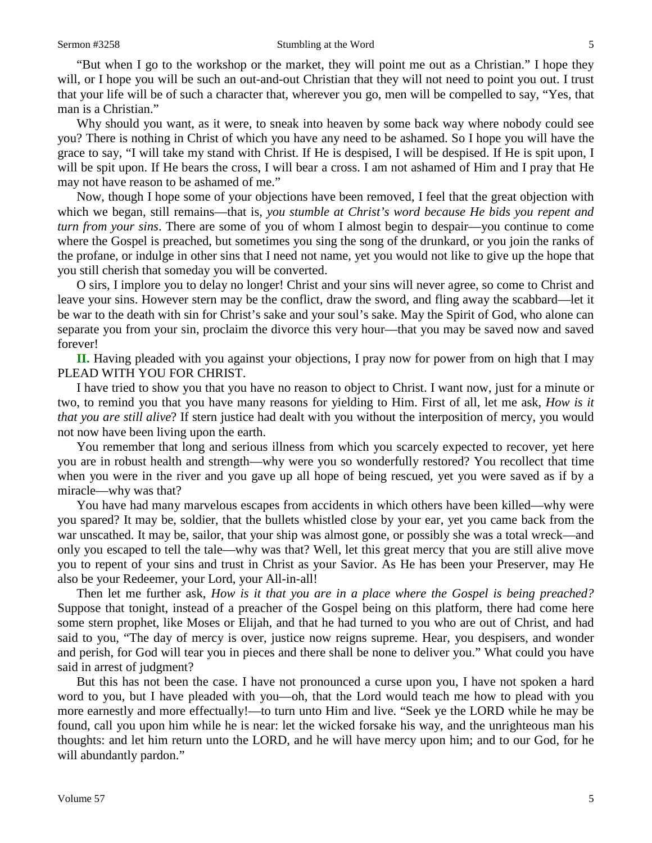"But when I go to the workshop or the market, they will point me out as a Christian." I hope they will, or I hope you will be such an out-and-out Christian that they will not need to point you out. I trust that your life will be of such a character that, wherever you go, men will be compelled to say, "Yes, that man is a Christian."

Why should you want, as it were, to sneak into heaven by some back way where nobody could see you? There is nothing in Christ of which you have any need to be ashamed. So I hope you will have the grace to say, "I will take my stand with Christ. If He is despised, I will be despised. If He is spit upon, I will be spit upon. If He bears the cross, I will bear a cross. I am not ashamed of Him and I pray that He may not have reason to be ashamed of me."

Now, though I hope some of your objections have been removed, I feel that the great objection with which we began, still remains—that is, *you stumble at Christ's word because He bids you repent and turn from your sins*. There are some of you of whom I almost begin to despair—you continue to come where the Gospel is preached, but sometimes you sing the song of the drunkard, or you join the ranks of the profane, or indulge in other sins that I need not name, yet you would not like to give up the hope that you still cherish that someday you will be converted.

O sirs, I implore you to delay no longer! Christ and your sins will never agree, so come to Christ and leave your sins. However stern may be the conflict, draw the sword, and fling away the scabbard—let it be war to the death with sin for Christ's sake and your soul's sake. May the Spirit of God, who alone can separate you from your sin, proclaim the divorce this very hour—that you may be saved now and saved forever!

**II.** Having pleaded with you against your objections, I pray now for power from on high that I may PLEAD WITH YOU FOR CHRIST.

I have tried to show you that you have no reason to object to Christ. I want now, just for a minute or two, to remind you that you have many reasons for yielding to Him. First of all, let me ask, *How is it that you are still alive*? If stern justice had dealt with you without the interposition of mercy, you would not now have been living upon the earth.

You remember that long and serious illness from which you scarcely expected to recover, yet here you are in robust health and strength—why were you so wonderfully restored? You recollect that time when you were in the river and you gave up all hope of being rescued, yet you were saved as if by a miracle—why was that?

You have had many marvelous escapes from accidents in which others have been killed—why were you spared? It may be, soldier, that the bullets whistled close by your ear, yet you came back from the war unscathed. It may be, sailor, that your ship was almost gone, or possibly she was a total wreck—and only you escaped to tell the tale—why was that? Well, let this great mercy that you are still alive move you to repent of your sins and trust in Christ as your Savior. As He has been your Preserver, may He also be your Redeemer, your Lord, your All-in-all!

Then let me further ask, *How is it that you are in a place where the Gospel is being preached?* Suppose that tonight, instead of a preacher of the Gospel being on this platform, there had come here some stern prophet, like Moses or Elijah, and that he had turned to you who are out of Christ, and had said to you, "The day of mercy is over, justice now reigns supreme. Hear, you despisers, and wonder and perish, for God will tear you in pieces and there shall be none to deliver you." What could you have said in arrest of judgment?

But this has not been the case. I have not pronounced a curse upon you, I have not spoken a hard word to you, but I have pleaded with you—oh, that the Lord would teach me how to plead with you more earnestly and more effectually!—to turn unto Him and live. "Seek ye the LORD while he may be found, call you upon him while he is near: let the wicked forsake his way, and the unrighteous man his thoughts: and let him return unto the LORD, and he will have mercy upon him; and to our God, for he will abundantly pardon."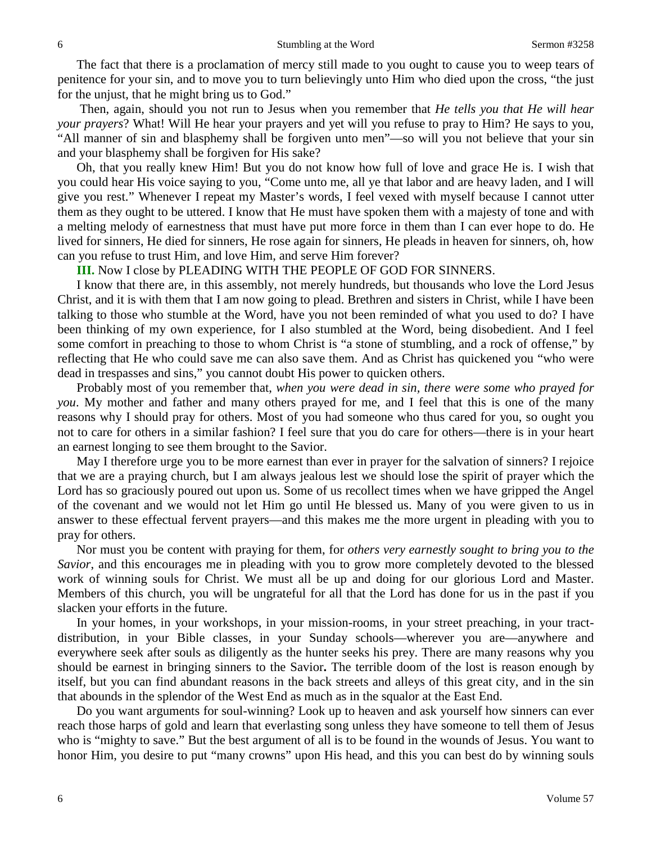The fact that there is a proclamation of mercy still made to you ought to cause you to weep tears of penitence for your sin, and to move you to turn believingly unto Him who died upon the cross, "the just for the unjust, that he might bring us to God."

Then, again, should you not run to Jesus when you remember that *He tells you that He will hear your prayers*? What! Will He hear your prayers and yet will you refuse to pray to Him? He says to you, "All manner of sin and blasphemy shall be forgiven unto men"—so will you not believe that your sin and your blasphemy shall be forgiven for His sake?

Oh, that you really knew Him! But you do not know how full of love and grace He is. I wish that you could hear His voice saying to you, "Come unto me, all ye that labor and are heavy laden, and I will give you rest." Whenever I repeat my Master's words, I feel vexed with myself because I cannot utter them as they ought to be uttered. I know that He must have spoken them with a majesty of tone and with a melting melody of earnestness that must have put more force in them than I can ever hope to do. He lived for sinners, He died for sinners, He rose again for sinners, He pleads in heaven for sinners, oh, how can you refuse to trust Him, and love Him, and serve Him forever?

**III.** Now I close by PLEADING WITH THE PEOPLE OF GOD FOR SINNERS.

I know that there are, in this assembly, not merely hundreds, but thousands who love the Lord Jesus Christ, and it is with them that I am now going to plead. Brethren and sisters in Christ, while I have been talking to those who stumble at the Word, have you not been reminded of what you used to do? I have been thinking of my own experience, for I also stumbled at the Word, being disobedient. And I feel some comfort in preaching to those to whom Christ is "a stone of stumbling, and a rock of offense," by reflecting that He who could save me can also save them. And as Christ has quickened you "who were dead in trespasses and sins," you cannot doubt His power to quicken others.

Probably most of you remember that, *when you were dead in sin, there were some who prayed for you*. My mother and father and many others prayed for me, and I feel that this is one of the many reasons why I should pray for others. Most of you had someone who thus cared for you, so ought you not to care for others in a similar fashion? I feel sure that you do care for others—there is in your heart an earnest longing to see them brought to the Savior.

May I therefore urge you to be more earnest than ever in prayer for the salvation of sinners? I rejoice that we are a praying church, but I am always jealous lest we should lose the spirit of prayer which the Lord has so graciously poured out upon us. Some of us recollect times when we have gripped the Angel of the covenant and we would not let Him go until He blessed us. Many of you were given to us in answer to these effectual fervent prayers—and this makes me the more urgent in pleading with you to pray for others.

Nor must you be content with praying for them, for *others very earnestly sought to bring you to the Savior*, and this encourages me in pleading with you to grow more completely devoted to the blessed work of winning souls for Christ. We must all be up and doing for our glorious Lord and Master. Members of this church, you will be ungrateful for all that the Lord has done for us in the past if you slacken your efforts in the future.

In your homes, in your workshops, in your mission-rooms, in your street preaching, in your tractdistribution, in your Bible classes, in your Sunday schools—wherever you are—anywhere and everywhere seek after souls as diligently as the hunter seeks his prey. There are many reasons why you should be earnest in bringing sinners to the Savior**.** The terrible doom of the lost is reason enough by itself, but you can find abundant reasons in the back streets and alleys of this great city, and in the sin that abounds in the splendor of the West End as much as in the squalor at the East End.

Do you want arguments for soul-winning? Look up to heaven and ask yourself how sinners can ever reach those harps of gold and learn that everlasting song unless they have someone to tell them of Jesus who is "mighty to save." But the best argument of all is to be found in the wounds of Jesus. You want to honor Him, you desire to put "many crowns" upon His head, and this you can best do by winning souls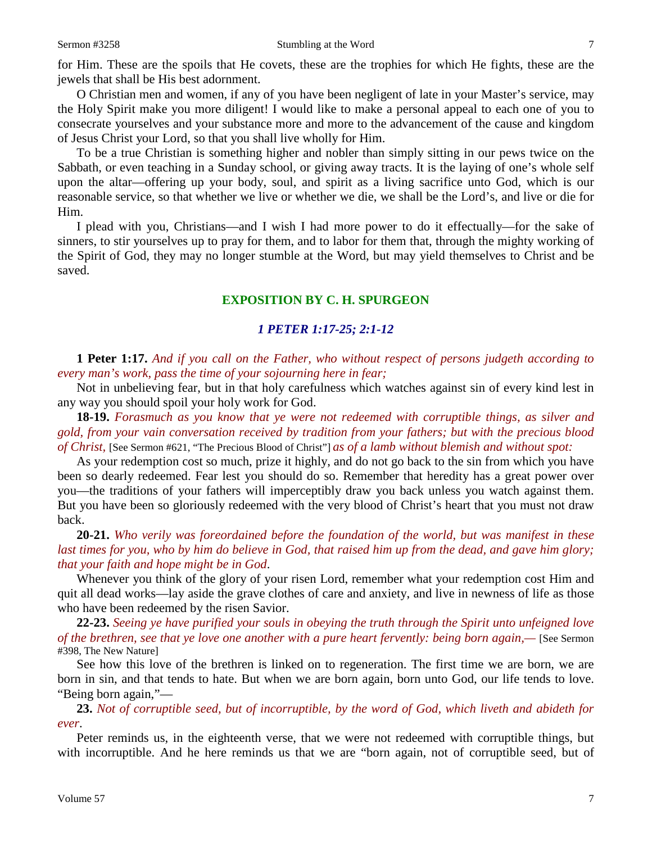for Him. These are the spoils that He covets, these are the trophies for which He fights, these are the jewels that shall be His best adornment.

O Christian men and women, if any of you have been negligent of late in your Master's service, may the Holy Spirit make you more diligent! I would like to make a personal appeal to each one of you to consecrate yourselves and your substance more and more to the advancement of the cause and kingdom of Jesus Christ your Lord, so that you shall live wholly for Him.

To be a true Christian is something higher and nobler than simply sitting in our pews twice on the Sabbath, or even teaching in a Sunday school, or giving away tracts. It is the laying of one's whole self upon the altar—offering up your body, soul, and spirit as a living sacrifice unto God, which is our reasonable service, so that whether we live or whether we die, we shall be the Lord's, and live or die for Him.

I plead with you, Christians—and I wish I had more power to do it effectually—for the sake of sinners, to stir yourselves up to pray for them, and to labor for them that, through the mighty working of the Spirit of God, they may no longer stumble at the Word, but may yield themselves to Christ and be saved.

### **EXPOSITION BY C. H. SPURGEON**

#### *1 PETER 1:17-25; 2:1-12*

**1 Peter 1:17.** *And if you call on the Father, who without respect of persons judgeth according to every man's work, pass the time of your sojourning here in fear;*

Not in unbelieving fear, but in that holy carefulness which watches against sin of every kind lest in any way you should spoil your holy work for God.

**18-19.** *Forasmuch as you know that ye were not redeemed with corruptible things, as silver and gold, from your vain conversation received by tradition from your fathers; but with the precious blood of Christ,* [See Sermon #621, "The Precious Blood of Christ"] *as of a lamb without blemish and without spot:*

As your redemption cost so much, prize it highly, and do not go back to the sin from which you have been so dearly redeemed. Fear lest you should do so. Remember that heredity has a great power over you—the traditions of your fathers will imperceptibly draw you back unless you watch against them. But you have been so gloriously redeemed with the very blood of Christ's heart that you must not draw back.

**20-21.** *Who verily was foreordained before the foundation of the world, but was manifest in these last times for you, who by him do believe in God, that raised him up from the dead, and gave him glory; that your faith and hope might be in God*.

Whenever you think of the glory of your risen Lord, remember what your redemption cost Him and quit all dead works—lay aside the grave clothes of care and anxiety, and live in newness of life as those who have been redeemed by the risen Savior.

**22-23.** *Seeing ye have purified your souls in obeying the truth through the Spirit unto unfeigned love of the brethren, see that ye love one another with a pure heart fervently: being born again,—* [See Sermon #398, The New Nature]

See how this love of the brethren is linked on to regeneration. The first time we are born, we are born in sin, and that tends to hate. But when we are born again, born unto God, our life tends to love. "Being born again,"—

**23.** *Not of corruptible seed, but of incorruptible, by the word of God, which liveth and abideth for ever*.

Peter reminds us, in the eighteenth verse, that we were not redeemed with corruptible things, but with incorruptible. And he here reminds us that we are "born again, not of corruptible seed, but of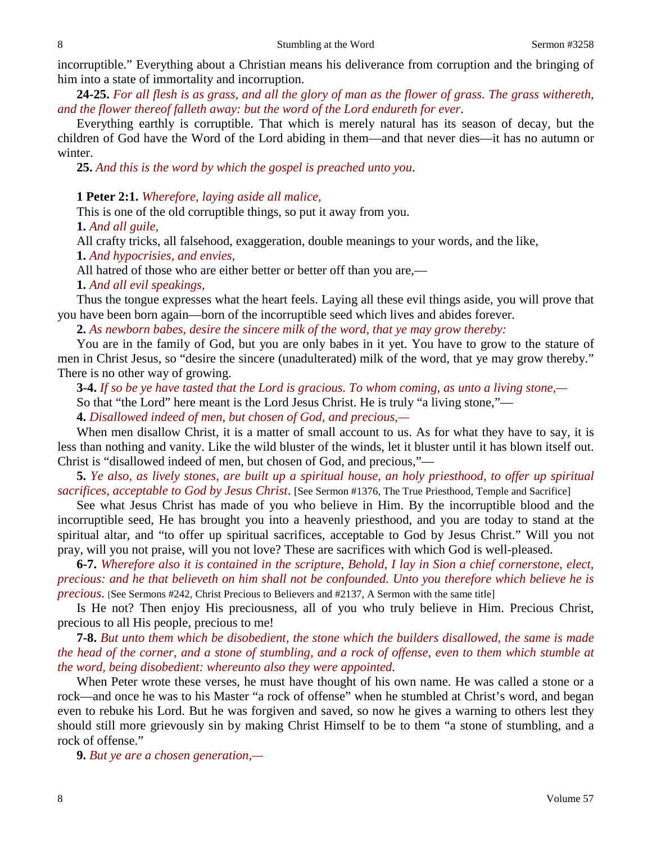incorruptible." Everything about a Christian means his deliverance from corruption and the bringing of him into a state of immortality and incorruption.

**24-25.** *For all flesh is as grass, and all the glory of man as the flower of grass. The grass withereth, and the flower thereof falleth away: but the word of the Lord endureth for ever*.

Everything earthly is corruptible. That which is merely natural has its season of decay, but the children of God have the Word of the Lord abiding in them—and that never dies—it has no autumn or winter.

**25.** *And this is the word by which the gospel is preached unto you*.

#### **1 Peter 2:1.** *Wherefore, laying aside all malice,*

This is one of the old corruptible things, so put it away from you.

**1.** *And all guile,*

All crafty tricks, all falsehood, exaggeration, double meanings to your words, and the like,

**1.** *And hypocrisies, and envies,*

All hatred of those who are either better or better off than you are,—

**1.** *And all evil speakings,*

Thus the tongue expresses what the heart feels. Laying all these evil things aside, you will prove that you have been born again—born of the incorruptible seed which lives and abides forever.

**2.** *As newborn babes, desire the sincere milk of the word, that ye may grow thereby:*

You are in the family of God, but you are only babes in it yet. You have to grow to the stature of men in Christ Jesus, so "desire the sincere (unadulterated) milk of the word, that ye may grow thereby." There is no other way of growing.

**3-4.** *If so be ye have tasted that the Lord is gracious. To whom coming, as unto a living stone,—* So that "the Lord" here meant is the Lord Jesus Christ. He is truly "a living stone,"—

**4.** *Disallowed indeed of men, but chosen of God, and precious,—*

When men disallow Christ, it is a matter of small account to us. As for what they have to say, it is less than nothing and vanity. Like the wild bluster of the winds, let it bluster until it has blown itself out. Christ is "disallowed indeed of men, but chosen of God, and precious,"—

**5.** *Ye also, as lively stones, are built up a spiritual house, an holy priesthood, to offer up spiritual sacrifices, acceptable to God by Jesus Christ*. [See Sermon #1376, The True Priesthood, Temple and Sacrifice]

See what Jesus Christ has made of you who believe in Him. By the incorruptible blood and the incorruptible seed, He has brought you into a heavenly priesthood, and you are today to stand at the spiritual altar, and "to offer up spiritual sacrifices, acceptable to God by Jesus Christ." Will you not pray, will you not praise, will you not love? These are sacrifices with which God is well-pleased.

**6-7.** *Wherefore also it is contained in the scripture, Behold, I lay in Sion a chief cornerstone, elect, precious: and he that believeth on him shall not be confounded. Unto you therefore which believe he is precious*. [See Sermons #242, Christ Precious to Believers and #2137, A Sermon with the same title]

Is He not? Then enjoy His preciousness, all of you who truly believe in Him. Precious Christ, precious to all His people, precious to me!

**7-8.** *But unto them which be disobedient, the stone which the builders disallowed, the same is made the head of the corner, and a stone of stumbling, and a rock of offense, even to them which stumble at the word, being disobedient: whereunto also they were appointed*.

When Peter wrote these verses, he must have thought of his own name. He was called a stone or a rock—and once he was to his Master "a rock of offense" when he stumbled at Christ's word, and began even to rebuke his Lord. But he was forgiven and saved, so now he gives a warning to others lest they should still more grievously sin by making Christ Himself to be to them "a stone of stumbling, and a rock of offense."

**9.** *But ye are a chosen generation,—*